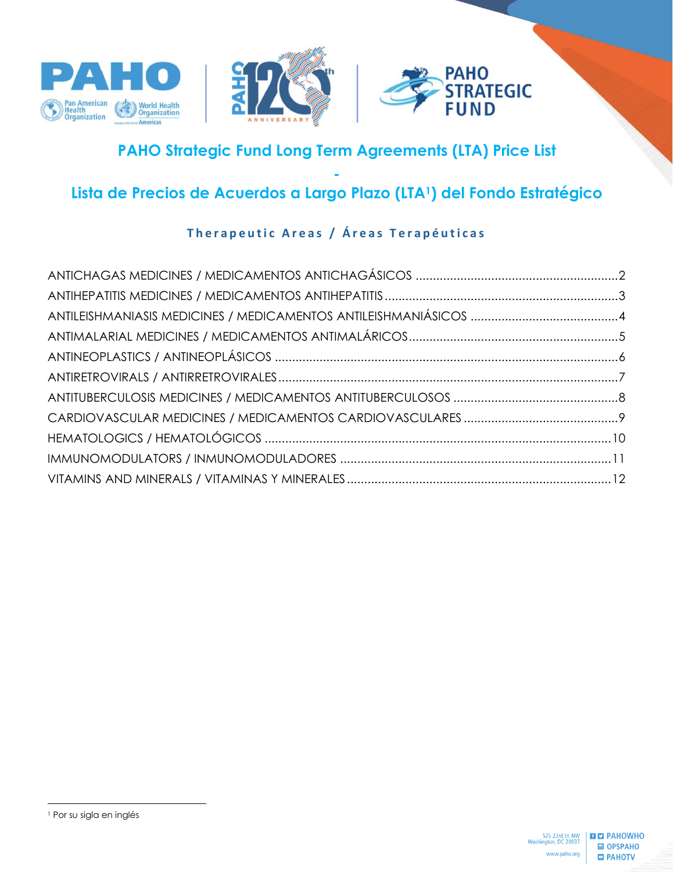





# **PAHO Strategic Fund Long Term Agreements (LTA) Price List**

## **- Lista de Precios de Acuerdos a Largo Plazo (LTA1) del Fondo Estratégico**

# **Therapeutic Areas / Áreas Terapéuticas**

<sup>1</sup> Por su sigla en inglés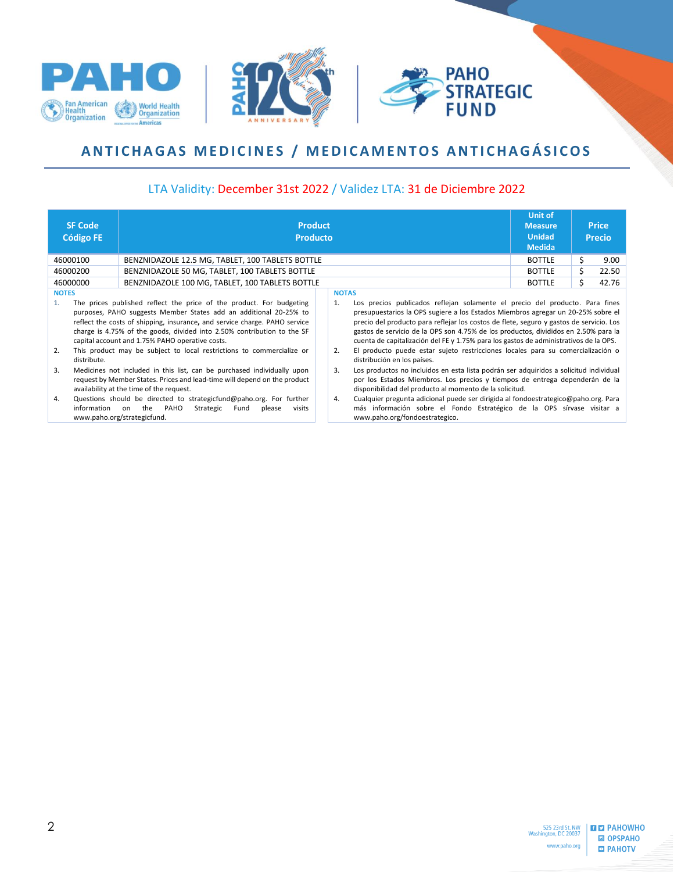





# <span id="page-1-0"></span>ANTICHAGAS MEDICINES / MEDICAMENTOS ANTICHAGÁSICOS

#### LTA Validity: December 31st 2022 / Validez LTA: 31 de Diciembre 2022

|                                                                                                                                                                                                                                                                               | <b>SF Code</b><br><b>Código FE</b>                                                                                                                                                               | <b>Product</b><br><b>Producto</b>                                                                                                                                | <b>Unit of</b><br><b>Measure</b><br><b>Unidad</b><br><b>Medida</b> |                                                                                                                                                                                                                                                                                                                                                             | <b>Price</b><br><b>Precio</b> |  |       |
|-------------------------------------------------------------------------------------------------------------------------------------------------------------------------------------------------------------------------------------------------------------------------------|--------------------------------------------------------------------------------------------------------------------------------------------------------------------------------------------------|------------------------------------------------------------------------------------------------------------------------------------------------------------------|--------------------------------------------------------------------|-------------------------------------------------------------------------------------------------------------------------------------------------------------------------------------------------------------------------------------------------------------------------------------------------------------------------------------------------------------|-------------------------------|--|-------|
|                                                                                                                                                                                                                                                                               | 46000100                                                                                                                                                                                         | BENZNIDAZOLE 12.5 MG, TABLET, 100 TABLETS BOTTLE                                                                                                                 |                                                                    |                                                                                                                                                                                                                                                                                                                                                             | <b>BOTTLE</b>                 |  | 9.00  |
|                                                                                                                                                                                                                                                                               | 46000200                                                                                                                                                                                         | BENZNIDAZOLE 50 MG, TABLET, 100 TABLETS BOTTLE                                                                                                                   |                                                                    |                                                                                                                                                                                                                                                                                                                                                             | <b>BOTTLE</b>                 |  | 22.50 |
|                                                                                                                                                                                                                                                                               | 46000000                                                                                                                                                                                         | BENZNIDAZOLE 100 MG, TABLET, 100 TABLETS BOTTLE                                                                                                                  |                                                                    |                                                                                                                                                                                                                                                                                                                                                             | <b>BOTTLE</b>                 |  | 42.76 |
| <b>NOTES</b>                                                                                                                                                                                                                                                                  |                                                                                                                                                                                                  | The prices published reflect the price of the product. For budgeting                                                                                             | 1.                                                                 | <b>NOTAS</b><br>Los precios publicados reflejan solamente el precio del producto. Para fines                                                                                                                                                                                                                                                                |                               |  |       |
| purposes, PAHO suggests Member States add an additional 20-25% to<br>reflect the costs of shipping, insurance, and service charge. PAHO service<br>charge is 4.75% of the goods, divided into 2.50% contribution to the SF<br>capital account and 1.75% PAHO operative costs. |                                                                                                                                                                                                  |                                                                                                                                                                  |                                                                    | presupuestarios la OPS sugiere a los Estados Miembros agregar un 20-25% sobre el<br>precio del producto para reflejar los costos de flete, seguro y gastos de servicio. Los<br>gastos de servicio de la OPS son 4.75% de los productos, divididos en 2.50% para la<br>cuenta de capitalización del FE y 1.75% para los gastos de administrativos de la OPS. |                               |  |       |
| 2.                                                                                                                                                                                                                                                                            | distribute.                                                                                                                                                                                      | This product may be subject to local restrictions to commercialize or                                                                                            | 2.                                                                 | El producto puede estar sujeto restricciones locales para su comercialización o<br>distribución en los países.                                                                                                                                                                                                                                              |                               |  |       |
| 3.                                                                                                                                                                                                                                                                            | Medicines not included in this list, can be purchased individually upon<br>request by Member States. Prices and lead-time will depend on the product<br>availability at the time of the request. |                                                                                                                                                                  | 3.                                                                 | Los productos no incluidos en esta lista podrán ser adquiridos a solicitud individual<br>por los Estados Miembros. Los precios y tiempos de entrega dependerán de la<br>disponibilidad del producto al momento de la solicitud.                                                                                                                             |                               |  |       |
| 4.                                                                                                                                                                                                                                                                            | information                                                                                                                                                                                      | Questions should be directed to strategicfund@paho.org. For further<br>PAHO<br>the<br>Strategic<br>visits<br>on<br>Fund<br>please<br>www.paho.org/strategicfund. | 4.                                                                 | Cualquier pregunta adicional puede ser dirigida al fondoestrategico@paho.org. Para<br>más información sobre el Fondo Estratégico de la OPS sírvase visitar a<br>www.paho.org/fondoestrategico.                                                                                                                                                              |                               |  |       |



2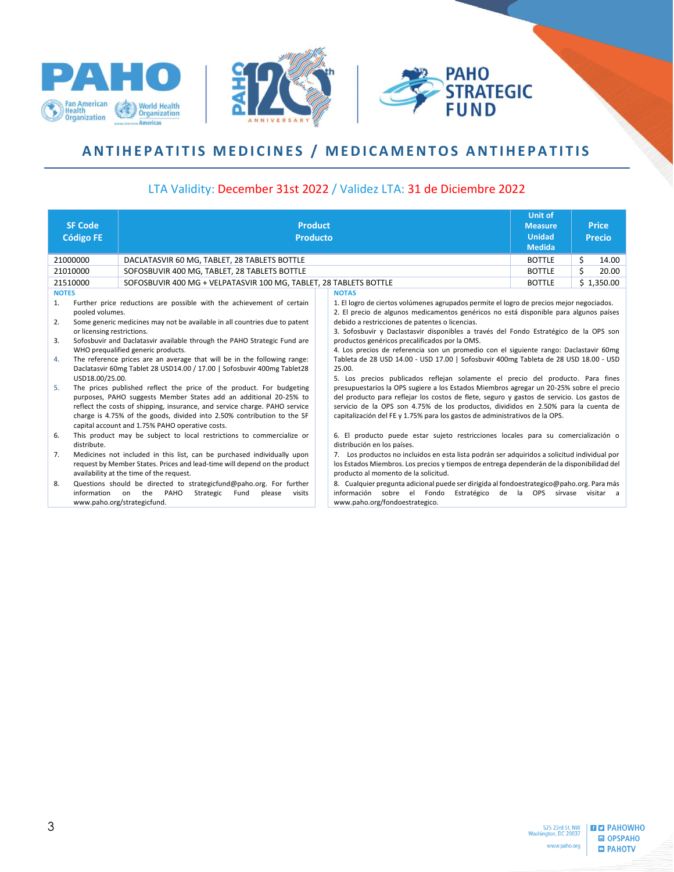





## <span id="page-2-0"></span>**ANTIHEPATITIS MEDICINES / MEDICAMENTOS ANTIHEPATITIS**

| <b>SF Code</b><br><b>Código FE</b>                                                                             | <b>Product</b><br><b>Producto</b>                                                                                                                                                                                                                                                                                                                                                                                                                                                                                                                                                                                                                                                                                                  |  |                                                                                                                                                                                                                                                                                                                                                                                                                                                                                                                                                                                                                                                                                                                                                                                                                                                                                                                                                                                                                                              | <b>Unit of</b><br><b>Measure</b><br><b>Unidad</b> |   | <b>Price</b><br><b>Precio</b> |
|----------------------------------------------------------------------------------------------------------------|------------------------------------------------------------------------------------------------------------------------------------------------------------------------------------------------------------------------------------------------------------------------------------------------------------------------------------------------------------------------------------------------------------------------------------------------------------------------------------------------------------------------------------------------------------------------------------------------------------------------------------------------------------------------------------------------------------------------------------|--|----------------------------------------------------------------------------------------------------------------------------------------------------------------------------------------------------------------------------------------------------------------------------------------------------------------------------------------------------------------------------------------------------------------------------------------------------------------------------------------------------------------------------------------------------------------------------------------------------------------------------------------------------------------------------------------------------------------------------------------------------------------------------------------------------------------------------------------------------------------------------------------------------------------------------------------------------------------------------------------------------------------------------------------------|---------------------------------------------------|---|-------------------------------|
|                                                                                                                |                                                                                                                                                                                                                                                                                                                                                                                                                                                                                                                                                                                                                                                                                                                                    |  |                                                                                                                                                                                                                                                                                                                                                                                                                                                                                                                                                                                                                                                                                                                                                                                                                                                                                                                                                                                                                                              | <b>Medida</b>                                     |   |                               |
| 21000000                                                                                                       | DACLATASVIR 60 MG, TABLET, 28 TABLETS BOTTLE                                                                                                                                                                                                                                                                                                                                                                                                                                                                                                                                                                                                                                                                                       |  |                                                                                                                                                                                                                                                                                                                                                                                                                                                                                                                                                                                                                                                                                                                                                                                                                                                                                                                                                                                                                                              |                                                   |   | 14.00                         |
| 21010000                                                                                                       | SOFOSBUVIR 400 MG, TABLET, 28 TABLETS BOTTLE                                                                                                                                                                                                                                                                                                                                                                                                                                                                                                                                                                                                                                                                                       |  |                                                                                                                                                                                                                                                                                                                                                                                                                                                                                                                                                                                                                                                                                                                                                                                                                                                                                                                                                                                                                                              | <b>BOTTLE</b>                                     | Ś | 20.00                         |
| 21510000                                                                                                       | SOFOSBUVIR 400 MG + VELPATASVIR 100 MG, TABLET, 28 TABLETS BOTTLE                                                                                                                                                                                                                                                                                                                                                                                                                                                                                                                                                                                                                                                                  |  |                                                                                                                                                                                                                                                                                                                                                                                                                                                                                                                                                                                                                                                                                                                                                                                                                                                                                                                                                                                                                                              | <b>BOTTLE</b>                                     |   | \$1,350.00                    |
| <b>NOTES</b><br>1.<br>pooled volumes.<br>2.<br>or licensing restrictions.<br>3.<br>4.<br>USD18.00/25.00.<br>5. | Further price reductions are possible with the achievement of certain<br>Some generic medicines may not be available in all countries due to patent<br>Sofosbuvir and Daclatasvir available through the PAHO Strategic Fund are<br>WHO prequalified generic products.<br>The reference prices are an average that will be in the following range:<br>Daclatasvir 60mg Tablet 28 USD14.00 / 17.00   Sofosbuvir 400mg Tablet28<br>The prices published reflect the price of the product. For budgeting<br>purposes, PAHO suggests Member States add an additional 20-25% to<br>reflect the costs of shipping, insurance, and service charge. PAHO service<br>charge is 4.75% of the goods, divided into 2.50% contribution to the SF |  | <b>NOTAS</b><br>1. El logro de ciertos volúmenes agrupados permite el logro de precios mejor negociados.<br>2. El precio de algunos medicamentos genéricos no está disponible para algunos países<br>debido a restricciones de patentes o licencias.<br>3. Sofosbuvir y Daclastasvir disponibles a través del Fondo Estratégico de la OPS son<br>productos genéricos precalificados por la OMS.<br>4. Los precios de referencia son un promedio con el siguiente rango: Daclastavir 60mg<br>Tableta de 28 USD 14.00 - USD 17.00   Sofosbuvir 400mg Tableta de 28 USD 18.00 - USD<br>25.00.<br>5. Los precios publicados reflejan solamente el precio del producto. Para fines<br>presupuestarios la OPS sugiere a los Estados Miembros agregar un 20-25% sobre el precio<br>del producto para reflejar los costos de flete, seguro y gastos de servicio. Los gastos de<br>servicio de la OPS son 4.75% de los productos, divididos en 2.50% para la cuenta de<br>capitalización del FE y 1.75% para los gastos de administrativos de la OPS. |                                                   |   |                               |
| 6.<br>distribute.                                                                                              | capital account and 1.75% PAHO operative costs.<br>This product may be subject to local restrictions to commercialize or                                                                                                                                                                                                                                                                                                                                                                                                                                                                                                                                                                                                           |  | 6. El producto puede estar sujeto restricciones locales para su comercialización o<br>distribución en los países.                                                                                                                                                                                                                                                                                                                                                                                                                                                                                                                                                                                                                                                                                                                                                                                                                                                                                                                            |                                                   |   |                               |
| 7.                                                                                                             | Medicines not included in this list, can be purchased individually upon<br>request by Member States. Prices and lead-time will depend on the product<br>availability at the time of the request.                                                                                                                                                                                                                                                                                                                                                                                                                                                                                                                                   |  | 7. Los productos no incluidos en esta lista podrán ser adquiridos a solicitud individual por<br>los Estados Miembros. Los precios y tiempos de entrega dependerán de la disponibilidad del<br>producto al momento de la solicitud.                                                                                                                                                                                                                                                                                                                                                                                                                                                                                                                                                                                                                                                                                                                                                                                                           |                                                   |   |                               |
| 8.<br>information                                                                                              | Questions should be directed to strategicfund@paho.org. For further<br>on the<br>PAHO<br>Strategic<br>Fund<br>please<br>visits<br>www.paho.org/strategicfund.                                                                                                                                                                                                                                                                                                                                                                                                                                                                                                                                                                      |  | 8. Cualquier pregunta adicional puede ser dirigida al fondoestrategico@paho.org. Para más<br>información sobre el Fondo<br>www.paho.org/fondoestrategico.                                                                                                                                                                                                                                                                                                                                                                                                                                                                                                                                                                                                                                                                                                                                                                                                                                                                                    | Estratégico de la OPS sírvase                     |   | visitar a                     |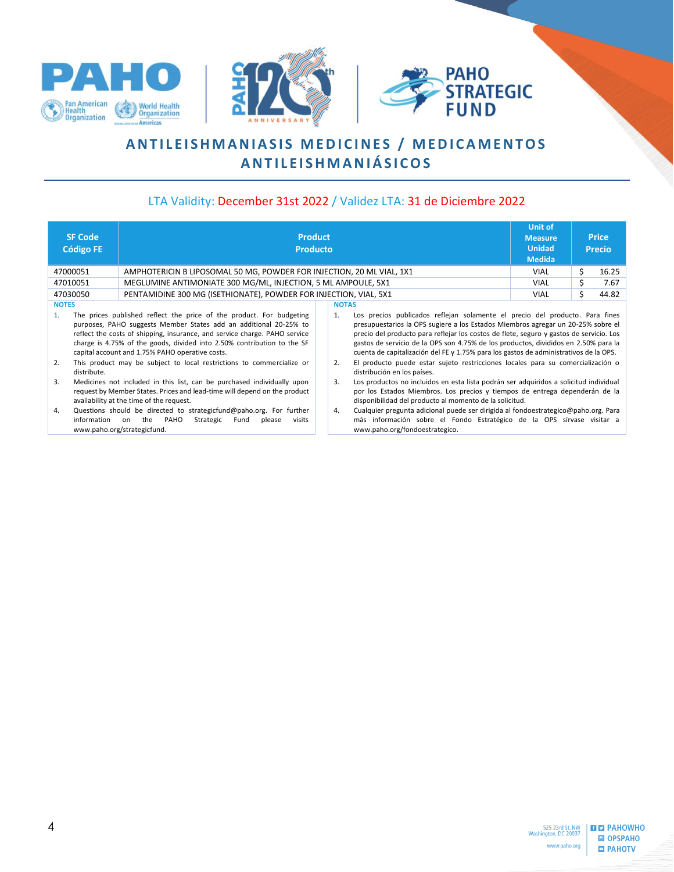<span id="page-3-0"></span>





# **ANTILEISHMANIASIS MEDICINES / MEDICAMENTOS A N T I L E I S H M A N I Á S I C O S**

| <b>SF Code</b><br><b>Código FE</b>                  | <b>Product</b><br><b>Producto</b>                                                                                                                                                                                                                                                                                                                                                                                              | <b>Unit of</b><br><b>Measure</b><br><b>Unidad</b><br><b>Medida</b>                                                                                                                                                                                                                                                                                                                                                                                                                                                                                                                        |             | <b>Price</b><br><b>Precio</b> |       |
|-----------------------------------------------------|--------------------------------------------------------------------------------------------------------------------------------------------------------------------------------------------------------------------------------------------------------------------------------------------------------------------------------------------------------------------------------------------------------------------------------|-------------------------------------------------------------------------------------------------------------------------------------------------------------------------------------------------------------------------------------------------------------------------------------------------------------------------------------------------------------------------------------------------------------------------------------------------------------------------------------------------------------------------------------------------------------------------------------------|-------------|-------------------------------|-------|
| 47000051                                            | AMPHOTERICIN B LIPOSOMAL 50 MG, POWDER FOR INJECTION, 20 ML VIAL, 1X1                                                                                                                                                                                                                                                                                                                                                          |                                                                                                                                                                                                                                                                                                                                                                                                                                                                                                                                                                                           | <b>VIAL</b> | \$                            | 16.25 |
| 47010051                                            | MEGLUMINE ANTIMONIATE 300 MG/ML, INJECTION, 5 ML AMPOULE, 5X1                                                                                                                                                                                                                                                                                                                                                                  |                                                                                                                                                                                                                                                                                                                                                                                                                                                                                                                                                                                           | <b>VIAL</b> | s                             | 7.67  |
| 47030050                                            | PENTAMIDINE 300 MG (ISETHIONATE), POWDER FOR INJECTION, VIAL, 5X1                                                                                                                                                                                                                                                                                                                                                              |                                                                                                                                                                                                                                                                                                                                                                                                                                                                                                                                                                                           | <b>VIAL</b> | Ś.                            | 44.82 |
| <b>NOTES</b><br>$\mathbf{1}$ .<br>2.<br>distribute. | The prices published reflect the price of the product. For budgeting<br>purposes, PAHO suggests Member States add an additional 20-25% to<br>reflect the costs of shipping, insurance, and service charge. PAHO service<br>charge is 4.75% of the goods, divided into 2.50% contribution to the SF<br>capital account and 1.75% PAHO operative costs.<br>This product may be subject to local restrictions to commercialize or | <b>NOTAS</b><br>Los precios publicados reflejan solamente el precio del producto. Para fines<br>1.<br>presupuestarios la OPS sugiere a los Estados Miembros agregar un 20-25% sobre el<br>precio del producto para reflejar los costos de flete, seguro y gastos de servicio. Los<br>gastos de servicio de la OPS son 4.75% de los productos, divididos en 2.50% para la<br>cuenta de capitalización del FE y 1.75% para los gastos de administrativos de la OPS.<br>El producto puede estar sujeto restricciones locales para su comercialización o<br>2.<br>distribución en los países. |             |                               |       |
| 3.<br>4.<br>information                             | Medicines not included in this list, can be purchased individually upon<br>request by Member States. Prices and lead-time will depend on the product<br>availability at the time of the request.<br>Questions should be directed to strategicfund@paho.org. For further<br>the PAHO<br>Strategic<br>Fund<br>visits<br>on<br>please<br>www.paho.org/strategicfund.                                                              | Los productos no incluidos en esta lista podrán ser adquiridos a solicitud individual<br>3.<br>por los Estados Miembros. Los precios y tiempos de entrega dependerán de la<br>disponibilidad del producto al momento de la solicitud.<br>Cualquier pregunta adicional puede ser dirigida al fondoestrategico@paho.org. Para<br>4.<br>más información sobre el Fondo Estratégico de la OPS sírvase visitar a<br>www.paho.org/fondoestrategico.                                                                                                                                             |             |                               |       |

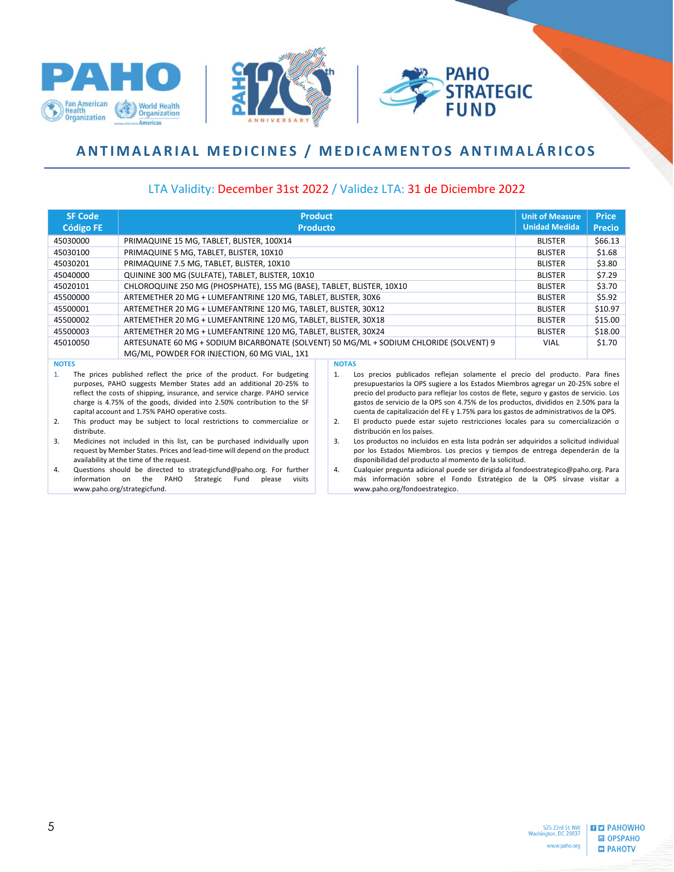





## <span id="page-4-0"></span>**ANTIMALARIAL MEDICINES / MEDICAMENTOS ANTIMALÁRICOS**

| <b>SF Code</b>                                                                                                                                                                                                                                                                                                                                              | <b>Product</b>                                                                         |  |                                                                                                                                                                                                                                                                                                                                                                                                                                                   | <b>Unit of Measure</b> | <b>Price</b>  |
|-------------------------------------------------------------------------------------------------------------------------------------------------------------------------------------------------------------------------------------------------------------------------------------------------------------------------------------------------------------|----------------------------------------------------------------------------------------|--|---------------------------------------------------------------------------------------------------------------------------------------------------------------------------------------------------------------------------------------------------------------------------------------------------------------------------------------------------------------------------------------------------------------------------------------------------|------------------------|---------------|
| <b>Código FE</b>                                                                                                                                                                                                                                                                                                                                            | <b>Producto</b>                                                                        |  |                                                                                                                                                                                                                                                                                                                                                                                                                                                   | <b>Unidad Medida</b>   | <b>Precio</b> |
| 45030000                                                                                                                                                                                                                                                                                                                                                    | PRIMAQUINE 15 MG, TABLET, BLISTER, 100X14                                              |  |                                                                                                                                                                                                                                                                                                                                                                                                                                                   | <b>BLISTER</b>         | \$66.13       |
| 45030100                                                                                                                                                                                                                                                                                                                                                    | PRIMAQUINE 5 MG, TABLET, BLISTER, 10X10                                                |  |                                                                                                                                                                                                                                                                                                                                                                                                                                                   |                        | \$1.68        |
| 45030201                                                                                                                                                                                                                                                                                                                                                    | PRIMAQUINE 7.5 MG, TABLET, BLISTER, 10X10                                              |  |                                                                                                                                                                                                                                                                                                                                                                                                                                                   |                        |               |
| 45040000                                                                                                                                                                                                                                                                                                                                                    | QUININE 300 MG (SULFATE), TABLET, BLISTER, 10X10                                       |  |                                                                                                                                                                                                                                                                                                                                                                                                                                                   |                        |               |
| 45020101                                                                                                                                                                                                                                                                                                                                                    | CHLOROQUINE 250 MG (PHOSPHATE), 155 MG (BASE), TABLET, BLISTER, 10X10                  |  |                                                                                                                                                                                                                                                                                                                                                                                                                                                   |                        | \$3.70        |
| 45500000                                                                                                                                                                                                                                                                                                                                                    | ARTEMETHER 20 MG + LUMEFANTRINE 120 MG, TABLET, BLISTER, 30X6                          |  |                                                                                                                                                                                                                                                                                                                                                                                                                                                   |                        | \$5.92        |
| 45500001                                                                                                                                                                                                                                                                                                                                                    | ARTEMETHER 20 MG + LUMEFANTRINE 120 MG, TABLET, BLISTER, 30X12                         |  |                                                                                                                                                                                                                                                                                                                                                                                                                                                   |                        | \$10.97       |
| 45500002                                                                                                                                                                                                                                                                                                                                                    | ARTEMETHER 20 MG + LUMEFANTRINE 120 MG, TABLET, BLISTER, 30X18                         |  |                                                                                                                                                                                                                                                                                                                                                                                                                                                   | <b>BLISTER</b>         | \$15.00       |
| 45500003                                                                                                                                                                                                                                                                                                                                                    | ARTEMETHER 20 MG + LUMEFANTRINE 120 MG, TABLET, BLISTER, 30X24                         |  |                                                                                                                                                                                                                                                                                                                                                                                                                                                   | <b>BLISTER</b>         | \$18.00       |
| 45010050                                                                                                                                                                                                                                                                                                                                                    | ARTESUNATE 60 MG + SODIUM BICARBONATE (SOLVENT) 50 MG/ML + SODIUM CHLORIDE (SOLVENT) 9 |  |                                                                                                                                                                                                                                                                                                                                                                                                                                                   | <b>VIAL</b>            | \$1.70        |
|                                                                                                                                                                                                                                                                                                                                                             | MG/ML, POWDER FOR INJECTION, 60 MG VIAL, 1X1                                           |  |                                                                                                                                                                                                                                                                                                                                                                                                                                                   |                        |               |
| <b>NOTES</b>                                                                                                                                                                                                                                                                                                                                                |                                                                                        |  | <b>NOTAS</b>                                                                                                                                                                                                                                                                                                                                                                                                                                      |                        |               |
| The prices published reflect the price of the product. For budgeting<br>1.<br>purposes, PAHO suggests Member States add an additional 20-25% to<br>reflect the costs of shipping, insurance, and service charge. PAHO service<br>charge is 4.75% of the goods, divided into 2.50% contribution to the SF<br>capital account and 1.75% PAHO operative costs. |                                                                                        |  | Los precios publicados reflejan solamente el precio del producto. Para fines<br>1.<br>presupuestarios la OPS sugiere a los Estados Miembros agregar un 20-25% sobre el<br>precio del producto para reflejar los costos de flete, seguro y gastos de servicio. Los<br>gastos de servicio de la OPS son 4.75% de los productos, divididos en 2.50% para la<br>cuenta de capitalización del FE y 1.75% para los gastos de administrativos de la OPS. |                        |               |
| 2.<br>distribute.                                                                                                                                                                                                                                                                                                                                           | This product may be subject to local restrictions to commercialize or                  |  | El producto puede estar sujeto restricciones locales para su comercialización o<br>2.<br>distribución en los países.                                                                                                                                                                                                                                                                                                                              |                        |               |

- 3. Medicines not included in this list, can be purchased individually upon request by Member States. Prices and lead-time will depend on the product availability at the time of the request.
- 4. Questions should be directed to strategicfund@paho.org. For further information on the PAHO Strategic Fund please visits www.paho.org/strategicfund.
- distribución en los países.
- 3. Los productos no incluidos en esta lista podrán ser adquiridos a solicitud individual por los Estados Miembros. Los precios y tiempos de entrega dependerán de la disponibilidad del producto al momento de la solicitud.
- 4. Cualquier pregunta adicional puede ser dirigida al fondoestrategico@paho.org. Para más información sobre el Fondo Estratégico de la OPS sírvase visitar a www.paho.org/fondoestrategico.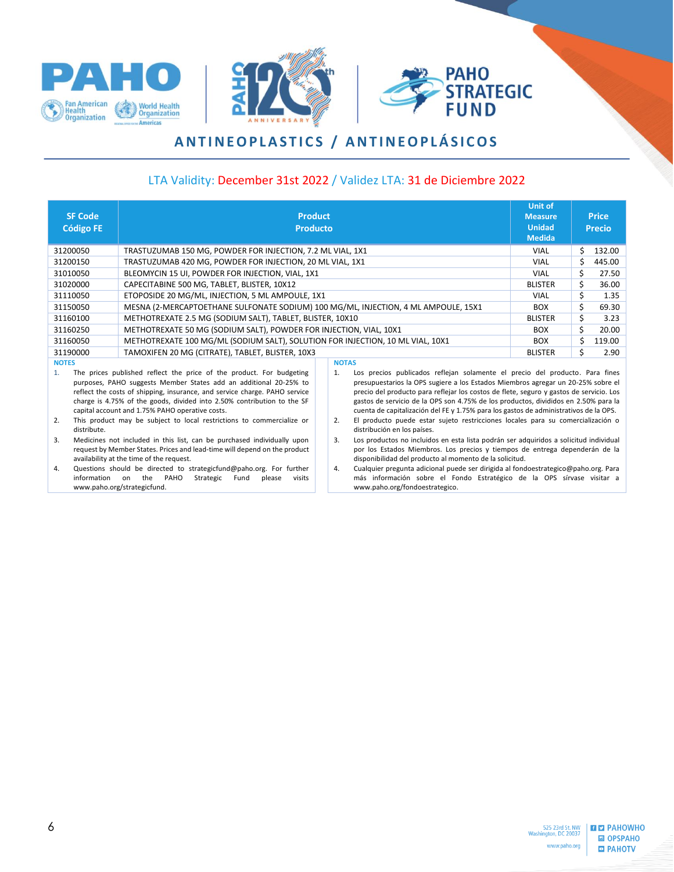





# **A N T I N E O P L A S T I C S / A N T I N E O P L Á S I C O S**

#### LTA Validity: December 31st 2022 / Validez LTA: 31 de Diciembre 2022

<span id="page-5-0"></span>

| <b>SF Code</b><br><b>Código FE</b>      | <b>Product</b><br><b>Producto</b>                                                                                                                                                                                                                                                                                                                                                                                              |      |                                                                                                                                                                                                                                                                                                                                                                                                                                                                                                                                                                                           | <b>Unit of</b><br><b>Measure</b><br><b>Unidad</b><br><b>Medida</b> |     | <b>Price</b><br><b>Precio</b> |
|-----------------------------------------|--------------------------------------------------------------------------------------------------------------------------------------------------------------------------------------------------------------------------------------------------------------------------------------------------------------------------------------------------------------------------------------------------------------------------------|------|-------------------------------------------------------------------------------------------------------------------------------------------------------------------------------------------------------------------------------------------------------------------------------------------------------------------------------------------------------------------------------------------------------------------------------------------------------------------------------------------------------------------------------------------------------------------------------------------|--------------------------------------------------------------------|-----|-------------------------------|
| 31200050                                | TRASTUZUMAB 150 MG, POWDER FOR INJECTION, 7.2 ML VIAL, 1X1                                                                                                                                                                                                                                                                                                                                                                     |      |                                                                                                                                                                                                                                                                                                                                                                                                                                                                                                                                                                                           | VIAL                                                               | Ś.  | 132.00                        |
| 31200150                                | TRASTUZUMAB 420 MG, POWDER FOR INJECTION, 20 ML VIAL, 1X1                                                                                                                                                                                                                                                                                                                                                                      |      |                                                                                                                                                                                                                                                                                                                                                                                                                                                                                                                                                                                           | VIAL                                                               | Ś.  | 445.00                        |
| 31010050                                | BLEOMYCIN 15 UI, POWDER FOR INJECTION, VIAL, 1X1                                                                                                                                                                                                                                                                                                                                                                               |      |                                                                                                                                                                                                                                                                                                                                                                                                                                                                                                                                                                                           | <b>VIAL</b>                                                        | \$  | 27.50                         |
| 31020000                                | CAPECITABINE 500 MG, TABLET, BLISTER, 10X12                                                                                                                                                                                                                                                                                                                                                                                    |      |                                                                                                                                                                                                                                                                                                                                                                                                                                                                                                                                                                                           | <b>BLISTER</b>                                                     | \$  | 36.00                         |
| 31110050                                | ETOPOSIDE 20 MG/ML, INJECTION, 5 ML AMPOULE, 1X1                                                                                                                                                                                                                                                                                                                                                                               | VIAL | Ś.                                                                                                                                                                                                                                                                                                                                                                                                                                                                                                                                                                                        | 1.35                                                               |     |                               |
| 31150050                                | MESNA (2-MERCAPTOETHANE SULFONATE SODIUM) 100 MG/ML, INJECTION, 4 ML AMPOULE, 15X1                                                                                                                                                                                                                                                                                                                                             |      |                                                                                                                                                                                                                                                                                                                                                                                                                                                                                                                                                                                           |                                                                    |     | 69.30                         |
| 31160100                                | METHOTREXATE 2.5 MG (SODIUM SALT), TABLET, BLISTER, 10X10                                                                                                                                                                                                                                                                                                                                                                      |      |                                                                                                                                                                                                                                                                                                                                                                                                                                                                                                                                                                                           |                                                                    | \$  | 3.23                          |
| 31160250                                | METHOTREXATE 50 MG (SODIUM SALT), POWDER FOR INJECTION, VIAL, 10X1                                                                                                                                                                                                                                                                                                                                                             |      |                                                                                                                                                                                                                                                                                                                                                                                                                                                                                                                                                                                           | <b>BOX</b>                                                         | \$  | 20.00                         |
| 31160050                                | METHOTREXATE 100 MG/ML (SODIUM SALT), SOLUTION FOR INJECTION, 10 ML VIAL, 10X1                                                                                                                                                                                                                                                                                                                                                 |      |                                                                                                                                                                                                                                                                                                                                                                                                                                                                                                                                                                                           | <b>BOX</b>                                                         | \$. | 119.00                        |
| 31190000                                | TAMOXIFEN 20 MG (CITRATE), TABLET, BLISTER, 10X3                                                                                                                                                                                                                                                                                                                                                                               |      |                                                                                                                                                                                                                                                                                                                                                                                                                                                                                                                                                                                           | <b>BLISTER</b>                                                     | \$. | 2.90                          |
| <b>NOTES</b><br>1.<br>2.<br>distribute. | The prices published reflect the price of the product. For budgeting<br>purposes, PAHO suggests Member States add an additional 20-25% to<br>reflect the costs of shipping, insurance, and service charge. PAHO service<br>charge is 4.75% of the goods, divided into 2.50% contribution to the SF<br>capital account and 1.75% PAHO operative costs.<br>This product may be subject to local restrictions to commercialize or |      | <b>NOTAS</b><br>Los precios publicados reflejan solamente el precio del producto. Para fines<br>1.<br>presupuestarios la OPS sugiere a los Estados Miembros agregar un 20-25% sobre el<br>precio del producto para reflejar los costos de flete, seguro y gastos de servicio. Los<br>gastos de servicio de la OPS son 4.75% de los productos, divididos en 2.50% para la<br>cuenta de capitalización del FE y 1.75% para los gastos de administrativos de la OPS.<br>El producto puede estar sujeto restricciones locales para su comercialización o<br>2.<br>distribución en los países. |                                                                    |     |                               |
| 3.                                      | Medicines not included in this list, can be purchased individually upon                                                                                                                                                                                                                                                                                                                                                        |      | Los productos no incluidos en esta lista podrán ser adquiridos a solicitud individual<br>3.                                                                                                                                                                                                                                                                                                                                                                                                                                                                                               |                                                                    |     |                               |

Medicines not included in this list, can be purchased individually upon request by Member States. Prices and lead-time will depend on the product availability at the time of the request.

4. Questions should be directed to strategicfund@paho.org. For further information on the PAHO Strategic Fund please visits www.paho.org/strategicfund.

por los Estados Miembros. Los precios y tiempos de entrega dependerán de la disponibilidad del producto al momento de la solicitud. 4. Cualquier pregunta adicional puede ser dirigida al fondoestrategico@paho.org. Para

más información sobre el Fondo Estratégico de la OPS sírvase visitar a www.paho.org/fondoestrategico.



 $\blacksquare$   $\blacksquare$   $\blacksquare$   $\blacksquare$   $\blacksquare$   $\blacksquare$   $\blacksquare$   $\blacksquare$   $\blacksquare$   $\blacksquare$   $\blacksquare$   $\blacksquare$   $\blacksquare$   $\blacksquare$   $\blacksquare$   $\blacksquare$   $\blacksquare$   $\blacksquare$   $\blacksquare$   $\blacksquare$   $\blacksquare$   $\blacksquare$   $\blacksquare$   $\blacksquare$   $\blacksquare$   $\blacksquare$   $\blacksquare$   $\blacksquare$   $\blacksquare$   $\blacksquare$   $\blacksquare$   $\blacks$ **圖 OPSPAHO** ⊡ РАНОТУ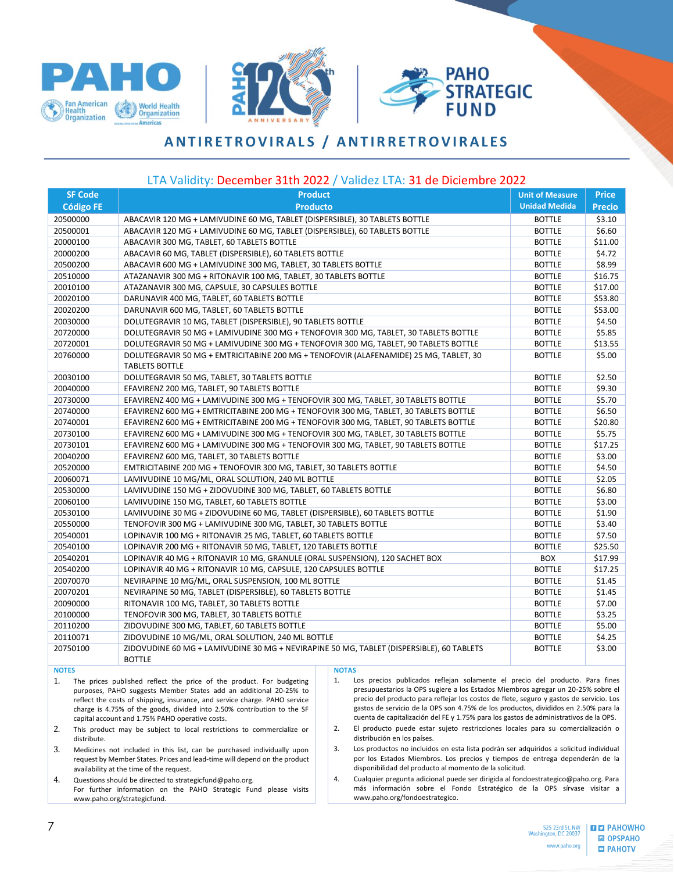





### **A N T I R E T R O V I R A L S / A N T I R R E T R O V I R A L E S**

#### LTA Validity: December 31th 2022 / Validez LTA: 31 de Diciembre 2022

<span id="page-6-0"></span>

| <b>SF Code</b>   | <b>Product</b><br><b>Unit of Measure</b>                                                                       |                      |               |  |  |  |  |
|------------------|----------------------------------------------------------------------------------------------------------------|----------------------|---------------|--|--|--|--|
| <b>Código FE</b> | <b>Producto</b>                                                                                                | <b>Unidad Medida</b> | <b>Precio</b> |  |  |  |  |
| 20500000         | ABACAVIR 120 MG + LAMIVUDINE 60 MG, TABLET (DISPERSIBLE), 30 TABLETS BOTTLE                                    | <b>BOTTLE</b>        | \$3.10        |  |  |  |  |
| 20500001         | ABACAVIR 120 MG + LAMIVUDINE 60 MG, TABLET (DISPERSIBLE), 60 TABLETS BOTTLE                                    | <b>BOTTLE</b>        | \$6.60        |  |  |  |  |
| 20000100         | ABACAVIR 300 MG, TABLET, 60 TABLETS BOTTLE                                                                     | <b>BOTTLE</b>        | \$11.00       |  |  |  |  |
| 20000200         | ABACAVIR 60 MG, TABLET (DISPERSIBLE), 60 TABLETS BOTTLE                                                        | <b>BOTTLE</b>        | \$4.72        |  |  |  |  |
| 20500200         | ABACAVIR 600 MG + LAMIVUDINE 300 MG, TABLET, 30 TABLETS BOTTLE                                                 | <b>BOTTLE</b>        | \$8.99        |  |  |  |  |
| 20510000         | ATAZANAVIR 300 MG + RITONAVIR 100 MG, TABLET, 30 TABLETS BOTTLE                                                | <b>BOTTLE</b>        | \$16.75       |  |  |  |  |
| 20010100         | ATAZANAVIR 300 MG, CAPSULE, 30 CAPSULES BOTTLE                                                                 | <b>BOTTLE</b>        | \$17.00       |  |  |  |  |
| 20020100         | DARUNAVIR 400 MG, TABLET, 60 TABLETS BOTTLE                                                                    | <b>BOTTLE</b>        | \$53.80       |  |  |  |  |
| 20020200         | DARUNAVIR 600 MG, TABLET, 60 TABLETS BOTTLE                                                                    | <b>BOTTLE</b>        | \$53.00       |  |  |  |  |
| 20030000         | DOLUTEGRAVIR 10 MG, TABLET (DISPERSIBLE), 90 TABLETS BOTTLE                                                    | <b>BOTTLE</b>        | \$4.50        |  |  |  |  |
| 20720000         | DOLUTEGRAVIR 50 MG + LAMIVUDINE 300 MG + TENOFOVIR 300 MG, TABLET, 30 TABLETS BOTTLE                           | <b>BOTTLE</b>        | \$5.85        |  |  |  |  |
| 20720001         | DOLUTEGRAVIR 50 MG + LAMIVUDINE 300 MG + TENOFOVIR 300 MG, TABLET, 90 TABLETS BOTTLE                           | <b>BOTTLE</b>        | \$13.55       |  |  |  |  |
| 20760000         | DOLUTEGRAVIR 50 MG + EMTRICITABINE 200 MG + TENOFOVIR (ALAFENAMIDE) 25 MG, TABLET, 30<br><b>TABLETS BOTTLE</b> | <b>BOTTLE</b>        | \$5.00        |  |  |  |  |
| 20030100         | DOLUTEGRAVIR 50 MG, TABLET, 30 TABLETS BOTTLE                                                                  | <b>BOTTLE</b>        | \$2.50        |  |  |  |  |
| 20040000         | EFAVIRENZ 200 MG, TABLET, 90 TABLETS BOTTLE                                                                    | <b>BOTTLE</b>        | \$9.30        |  |  |  |  |
| 20730000         | EFAVIRENZ 400 MG + LAMIVUDINE 300 MG + TENOFOVIR 300 MG, TABLET, 30 TABLETS BOTTLE                             | <b>BOTTLE</b>        | \$5.70        |  |  |  |  |
| 20740000         | EFAVIRENZ 600 MG + EMTRICITABINE 200 MG + TENOFOVIR 300 MG, TABLET, 30 TABLETS BOTTLE                          | <b>BOTTLE</b>        | \$6.50        |  |  |  |  |
| 20740001         | EFAVIRENZ 600 MG + EMTRICITABINE 200 MG + TENOFOVIR 300 MG, TABLET, 90 TABLETS BOTTLE                          | <b>BOTTLE</b>        | \$20.80       |  |  |  |  |
| 20730100         | EFAVIRENZ 600 MG + LAMIVUDINE 300 MG + TENOFOVIR 300 MG, TABLET, 30 TABLETS BOTTLE                             | <b>BOTTLE</b>        | \$5.75        |  |  |  |  |
| 20730101         | EFAVIRENZ 600 MG + LAMIVUDINE 300 MG + TENOFOVIR 300 MG, TABLET, 90 TABLETS BOTTLE                             | <b>BOTTLE</b>        | \$17.25       |  |  |  |  |
| 20040200         | EFAVIRENZ 600 MG, TABLET, 30 TABLETS BOTTLE                                                                    | <b>BOTTLE</b>        | \$3.00        |  |  |  |  |
| 20520000         | EMTRICITABINE 200 MG + TENOFOVIR 300 MG, TABLET, 30 TABLETS BOTTLE                                             | <b>BOTTLE</b>        | \$4.50        |  |  |  |  |
| 20060071         | LAMIVUDINE 10 MG/ML, ORAL SOLUTION, 240 ML BOTTLE                                                              | <b>BOTTLE</b>        | \$2.05        |  |  |  |  |
| 20530000         | LAMIVUDINE 150 MG + ZIDOVUDINE 300 MG, TABLET, 60 TABLETS BOTTLE                                               | <b>BOTTLE</b>        | \$6.80        |  |  |  |  |
| 20060100         | LAMIVUDINE 150 MG, TABLET, 60 TABLETS BOTTLE                                                                   | <b>BOTTLE</b>        | \$3.00        |  |  |  |  |
| 20530100         | LAMIVUDINE 30 MG + ZIDOVUDINE 60 MG, TABLET (DISPERSIBLE), 60 TABLETS BOTTLE                                   | <b>BOTTLE</b>        | \$1.90        |  |  |  |  |
| 20550000         | TENOFOVIR 300 MG + LAMIVUDINE 300 MG, TABLET, 30 TABLETS BOTTLE                                                | <b>BOTTLE</b>        | \$3.40        |  |  |  |  |
| 20540001         | LOPINAVIR 100 MG + RITONAVIR 25 MG, TABLET, 60 TABLETS BOTTLE                                                  | <b>BOTTLE</b>        | \$7.50        |  |  |  |  |
| 20540100         | LOPINAVIR 200 MG + RITONAVIR 50 MG, TABLET, 120 TABLETS BOTTLE                                                 | <b>BOTTLE</b>        | \$25.50       |  |  |  |  |
| 20540201         | LOPINAVIR 40 MG + RITONAVIR 10 MG, GRANULE (ORAL SUSPENSION), 120 SACHET BOX                                   | <b>BOX</b>           | \$17.99       |  |  |  |  |
| 20540200         | LOPINAVIR 40 MG + RITONAVIR 10 MG, CAPSULE, 120 CAPSULES BOTTLE                                                | <b>BOTTLE</b>        | \$17.25       |  |  |  |  |
| 20070070         | NEVIRAPINE 10 MG/ML, ORAL SUSPENSION, 100 ML BOTTLE                                                            | <b>BOTTLE</b>        | \$1.45        |  |  |  |  |
| 20070201         | NEVIRAPINE 50 MG, TABLET (DISPERSIBLE), 60 TABLETS BOTTLE                                                      | <b>BOTTLE</b>        | \$1.45        |  |  |  |  |
| 20090000         | RITONAVIR 100 MG, TABLET, 30 TABLETS BOTTLE                                                                    | <b>BOTTLE</b>        | \$7.00        |  |  |  |  |
| 20100000         | TENOFOVIR 300 MG, TABLET, 30 TABLETS BOTTLE                                                                    | <b>BOTTLE</b>        | \$3.25        |  |  |  |  |
| 20110200         | ZIDOVUDINE 300 MG, TABLET, 60 TABLETS BOTTLE                                                                   | <b>BOTTLE</b>        | \$5.00        |  |  |  |  |
| 20110071         | ZIDOVUDINE 10 MG/ML, ORAL SOLUTION, 240 ML BOTTLE                                                              | <b>BOTTLE</b>        | \$4.25        |  |  |  |  |
| 20750100         | ZIDOVUDINE 60 MG + LAMIVUDINE 30 MG + NEVIRAPINE 50 MG, TABLET (DISPERSIBLE), 60 TABLETS<br><b>BOTTLE</b>      | <b>BOTTLE</b>        | \$3.00        |  |  |  |  |
| <b>NOTES</b>     | <b>NOTAS</b>                                                                                                   |                      |               |  |  |  |  |

1. The prices published reflect the price of the product. For budgeting purposes, PAHO suggests Member States add an additional 20-25% to reflect the costs of shipping, insurance, and service charge. PAHO service charge is 4.75% of the goods, divided into 2.50% contribution to the SF capital account and 1.75% PAHO operative costs.

2. This product may be subject to local restrictions to commercialize or distribute.

3. Medicines not included in this list, can be purchased individually upon request by Member States. Prices and lead-time will depend on the product availability at the time of the request.

4. Questions should be directed to strategicfund@paho.org. For further information on the PAHO Strategic Fund please visits www.paho.org/strategicfund.

1. Los precios publicados reflejan solamente el precio del producto. Para fines presupuestarios la OPS sugiere a los Estados Miembros agregar un 20-25% sobre el precio del producto para reflejar los costos de flete, seguro y gastos de servicio. Los gastos de servicio de la OPS son 4.75% de los productos, divididos en 2.50% para la cuenta de capitalización del FE y 1.75% para los gastos de administrativos de la OPS.

2. El producto puede estar sujeto restricciones locales para su comercialización o distribución en los países.

3. Los productos no incluidos en esta lista podrán ser adquiridos a solicitud individual por los Estados Miembros. Los precios y tiempos de entrega dependerán de la disponibilidad del producto al momento de la solicitud.

4. Cualquier pregunta adicional puede ser dirigida al fondoestrategico@paho.org. Para más información sobre el Fondo Estratégico de la OPS sírvase visitar a www.paho.org/fondoestrategico.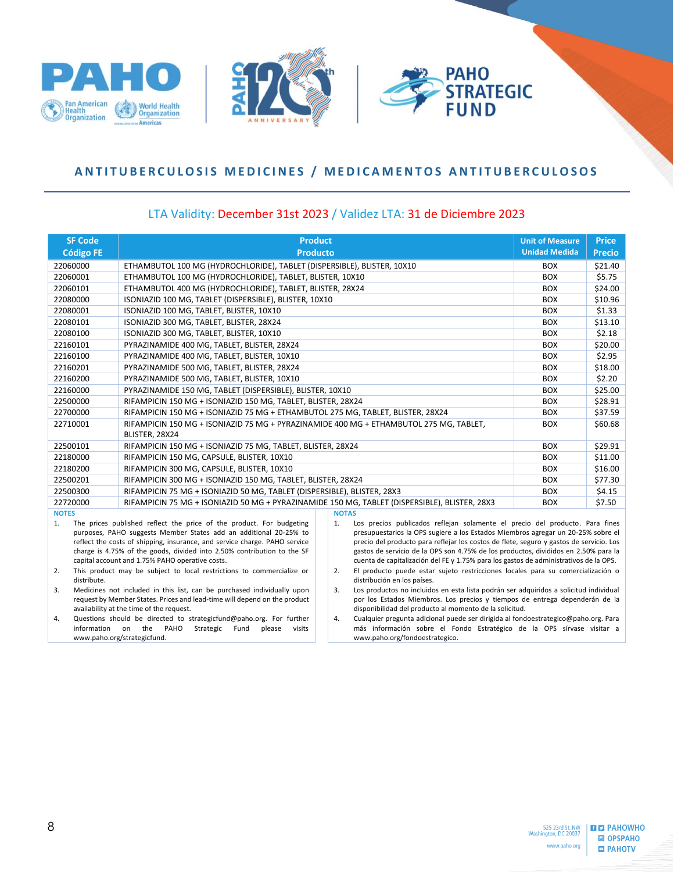





### <span id="page-7-0"></span>ANTITUBERCULOSIS MEDICINES / MEDICAMENTOS ANTITUBERCULOSOS

| <b>SF Code</b>    | <b>Product</b>                                                                                                                                                                                                                                                                                                                                        | <b>Unit of Measure</b> | <b>Price</b>                                                                                                                                                                                                                                                                                                                                                                                                                                |            |         |
|-------------------|-------------------------------------------------------------------------------------------------------------------------------------------------------------------------------------------------------------------------------------------------------------------------------------------------------------------------------------------------------|------------------------|---------------------------------------------------------------------------------------------------------------------------------------------------------------------------------------------------------------------------------------------------------------------------------------------------------------------------------------------------------------------------------------------------------------------------------------------|------------|---------|
| <b>Código FE</b>  | <b>Producto</b>                                                                                                                                                                                                                                                                                                                                       | <b>Unidad Medida</b>   | <b>Precio</b>                                                                                                                                                                                                                                                                                                                                                                                                                               |            |         |
| 22060000          | ETHAMBUTOL 100 MG (HYDROCHLORIDE), TABLET (DISPERSIBLE), BLISTER, 10X10                                                                                                                                                                                                                                                                               |                        |                                                                                                                                                                                                                                                                                                                                                                                                                                             | <b>BOX</b> | \$21.40 |
| 22060001          | ETHAMBUTOL 100 MG (HYDROCHLORIDE), TABLET, BLISTER, 10X10                                                                                                                                                                                                                                                                                             | <b>BOX</b>             | \$5.75                                                                                                                                                                                                                                                                                                                                                                                                                                      |            |         |
| 22060101          | ETHAMBUTOL 400 MG (HYDROCHLORIDE), TABLET, BLISTER, 28X24                                                                                                                                                                                                                                                                                             | <b>BOX</b>             | \$24.00                                                                                                                                                                                                                                                                                                                                                                                                                                     |            |         |
| 22080000          | ISONIAZID 100 MG, TABLET (DISPERSIBLE), BLISTER, 10X10                                                                                                                                                                                                                                                                                                |                        |                                                                                                                                                                                                                                                                                                                                                                                                                                             | <b>BOX</b> | \$10.96 |
| 22080001          | ISONIAZID 100 MG, TABLET, BLISTER, 10X10                                                                                                                                                                                                                                                                                                              |                        |                                                                                                                                                                                                                                                                                                                                                                                                                                             | <b>BOX</b> | \$1.33  |
| 22080101          | ISONIAZID 300 MG, TABLET, BLISTER, 28X24                                                                                                                                                                                                                                                                                                              |                        |                                                                                                                                                                                                                                                                                                                                                                                                                                             | <b>BOX</b> | \$13.10 |
| 22080100          | ISONIAZID 300 MG, TABLET, BLISTER, 10X10                                                                                                                                                                                                                                                                                                              |                        |                                                                                                                                                                                                                                                                                                                                                                                                                                             | <b>BOX</b> | \$2.18  |
| 22160101          | PYRAZINAMIDE 400 MG, TABLET, BLISTER, 28X24                                                                                                                                                                                                                                                                                                           |                        |                                                                                                                                                                                                                                                                                                                                                                                                                                             | <b>BOX</b> | \$20.00 |
| 22160100          | PYRAZINAMIDE 400 MG, TABLET, BLISTER, 10X10                                                                                                                                                                                                                                                                                                           |                        |                                                                                                                                                                                                                                                                                                                                                                                                                                             | <b>BOX</b> | \$2.95  |
| 22160201          | PYRAZINAMIDE 500 MG, TABLET, BLISTER, 28X24                                                                                                                                                                                                                                                                                                           |                        |                                                                                                                                                                                                                                                                                                                                                                                                                                             | <b>BOX</b> | \$18.00 |
| 22160200          | PYRAZINAMIDE 500 MG, TABLET, BLISTER, 10X10                                                                                                                                                                                                                                                                                                           |                        |                                                                                                                                                                                                                                                                                                                                                                                                                                             | <b>BOX</b> | \$2.20  |
| 22160000          | PYRAZINAMIDE 150 MG, TABLET (DISPERSIBLE), BLISTER, 10X10                                                                                                                                                                                                                                                                                             |                        |                                                                                                                                                                                                                                                                                                                                                                                                                                             | <b>BOX</b> | \$25.00 |
| 22500000          | RIFAMPICIN 150 MG + ISONIAZID 150 MG, TABLET, BLISTER, 28X24                                                                                                                                                                                                                                                                                          |                        |                                                                                                                                                                                                                                                                                                                                                                                                                                             | <b>BOX</b> | \$28.91 |
| 22700000          | RIFAMPICIN 150 MG + ISONIAZID 75 MG + ETHAMBUTOL 275 MG, TABLET, BLISTER, 28X24                                                                                                                                                                                                                                                                       | <b>BOX</b>             | \$37.59                                                                                                                                                                                                                                                                                                                                                                                                                                     |            |         |
| 22710001          | RIFAMPICIN 150 MG + ISONIAZID 75 MG + PYRAZINAMIDE 400 MG + ETHAMBUTOL 275 MG, TABLET,<br>BLISTER, 28X24                                                                                                                                                                                                                                              |                        |                                                                                                                                                                                                                                                                                                                                                                                                                                             |            | \$60.68 |
| 22500101          | RIFAMPICIN 150 MG + ISONIAZID 75 MG, TABLET, BLISTER, 28X24                                                                                                                                                                                                                                                                                           |                        |                                                                                                                                                                                                                                                                                                                                                                                                                                             | <b>BOX</b> | \$29.91 |
| 22180000          | RIFAMPICIN 150 MG, CAPSULE, BLISTER, 10X10                                                                                                                                                                                                                                                                                                            |                        |                                                                                                                                                                                                                                                                                                                                                                                                                                             | <b>BOX</b> | \$11.00 |
| 22180200          | RIFAMPICIN 300 MG, CAPSULE, BLISTER, 10X10                                                                                                                                                                                                                                                                                                            |                        |                                                                                                                                                                                                                                                                                                                                                                                                                                             | <b>BOX</b> | \$16.00 |
| 22500201          | RIFAMPICIN 300 MG + ISONIAZID 150 MG, TABLET, BLISTER, 28X24                                                                                                                                                                                                                                                                                          |                        |                                                                                                                                                                                                                                                                                                                                                                                                                                             | <b>BOX</b> | \$77.30 |
| 22500300          | RIFAMPICIN 75 MG + ISONIAZID 50 MG, TABLET (DISPERSIBLE), BLISTER, 28X3                                                                                                                                                                                                                                                                               |                        |                                                                                                                                                                                                                                                                                                                                                                                                                                             | <b>BOX</b> | \$4.15  |
| 22720000          | RIFAMPICIN 75 MG + ISONIAZID 50 MG + PYRAZINAMIDE 150 MG, TABLET (DISPERSIBLE), BLISTER, 28X3                                                                                                                                                                                                                                                         |                        |                                                                                                                                                                                                                                                                                                                                                                                                                                             | <b>BOX</b> | \$7.50  |
| <b>NOTES</b>      |                                                                                                                                                                                                                                                                                                                                                       |                        | <b>NOTAS</b>                                                                                                                                                                                                                                                                                                                                                                                                                                |            |         |
| 1.                | The prices published reflect the price of the product. For budgeting<br>purposes, PAHO suggests Member States add an additional 20-25% to<br>reflect the costs of shipping, insurance, and service charge. PAHO service<br>charge is 4.75% of the goods, divided into 2.50% contribution to the SF<br>capital account and 1.75% PAHO operative costs. | 1.                     | Los precios publicados reflejan solamente el precio del producto. Para fines<br>presupuestarios la OPS sugiere a los Estados Miembros agregar un 20-25% sobre el<br>precio del producto para reflejar los costos de flete, seguro y gastos de servicio. Los<br>gastos de servicio de la OPS son 4.75% de los productos, divididos en 2.50% para la<br>cuenta de capitalización del FE y 1.75% para los gastos de administrativos de la OPS. |            |         |
| 2.<br>distribute. | This product may be subject to local restrictions to commercialize or                                                                                                                                                                                                                                                                                 | 2.                     | El producto puede estar sujeto restricciones locales para su comercialización o<br>distribución en los países.                                                                                                                                                                                                                                                                                                                              |            |         |
| 3.                | Medicines not included in this list, can be purchased individually upon<br>request by Member States. Prices and lead-time will depend on the product<br>availability at the time of the request.                                                                                                                                                      | 3.                     | Los productos no incluidos en esta lista podrán ser adquiridos a solicitud individual<br>por los Estados Miembros. Los precios y tiempos de entrega dependerán de la<br>disponibilidad del producto al momento de la solicitud.                                                                                                                                                                                                             |            |         |
| 4.                | Questions should be directed to strategicfund@paho.org. For further<br>information on the PAHO<br>Strategic<br>Fund<br>please<br>visits<br>www.paho.org/strategicfund.                                                                                                                                                                                | 4.                     | Cualquier pregunta adicional puede ser dirigida al fondoestrategico@paho.org. Para<br>más información sobre el Fondo Estratégico de la OPS sírvase visitar a<br>www.paho.org/fondoestrategico.                                                                                                                                                                                                                                              |            |         |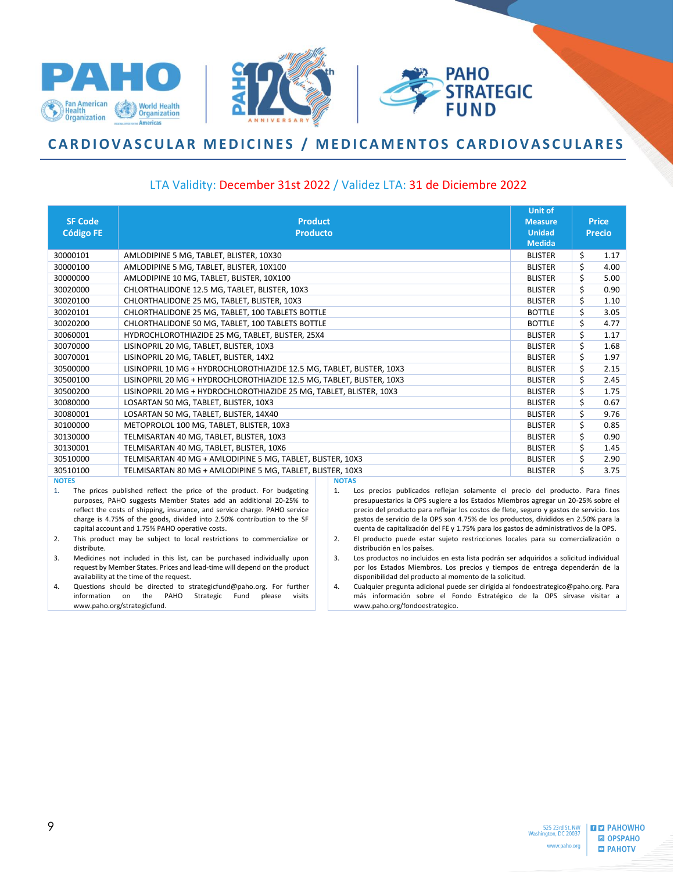

## <span id="page-8-0"></span>CARDIOVASCULAR MEDICINES / MEDICAMENTOS CARDIOVASCULARES

#### LTA Validity: December 31st 2022 / Validez LTA: 31 de Diciembre 2022

|                  |                                                                                                                                                      | <b>Unit of</b>                                                                                                                                                              |                                 |      |               |
|------------------|------------------------------------------------------------------------------------------------------------------------------------------------------|-----------------------------------------------------------------------------------------------------------------------------------------------------------------------------|---------------------------------|------|---------------|
| <b>SF Code</b>   | <b>Product</b>                                                                                                                                       |                                                                                                                                                                             | <b>Measure</b><br><b>Unidad</b> |      | <b>Price</b>  |
| <b>Código FE</b> | <b>Producto</b>                                                                                                                                      |                                                                                                                                                                             | <b>Medida</b>                   |      | <b>Precio</b> |
| 30000101         | AMLODIPINE 5 MG, TABLET, BLISTER, 10X30                                                                                                              |                                                                                                                                                                             | <b>BLISTER</b>                  | \$   | 1.17          |
| 30000100         | AMLODIPINE 5 MG, TABLET, BLISTER, 10X100                                                                                                             |                                                                                                                                                                             | <b>BLISTER</b>                  | \$   | 4.00          |
| 30000000         | AMLODIPINE 10 MG, TABLET, BLISTER, 10X100                                                                                                            |                                                                                                                                                                             | <b>BLISTER</b>                  | \$   | 5.00          |
| 30020000         | CHLORTHALIDONE 12.5 MG, TABLET, BLISTER, 10X3                                                                                                        |                                                                                                                                                                             | <b>BLISTER</b>                  | \$   | 0.90          |
| 30020100         | CHLORTHALIDONE 25 MG, TABLET, BLISTER, 10X3                                                                                                          |                                                                                                                                                                             | <b>BLISTER</b>                  | \$   | 1.10          |
| 30020101         | CHLORTHALIDONE 25 MG, TABLET, 100 TABLETS BOTTLE                                                                                                     |                                                                                                                                                                             | <b>BOTTLE</b>                   | \$   | 3.05          |
| 30020200         | CHLORTHALIDONE 50 MG, TABLET, 100 TABLETS BOTTLE                                                                                                     |                                                                                                                                                                             | <b>BOTTLE</b>                   | \$   | 4.77          |
| 30060001         | HYDROCHLOROTHIAZIDE 25 MG, TABLET, BLISTER, 25X4                                                                                                     |                                                                                                                                                                             | <b>BLISTER</b>                  | \$   | 1.17          |
| 30070000         | LISINOPRIL 20 MG, TABLET, BLISTER, 10X3                                                                                                              |                                                                                                                                                                             | <b>BLISTER</b>                  | \$   | 1.68          |
| 30070001         | LISINOPRIL 20 MG, TABLET, BLISTER, 14X2                                                                                                              | <b>BLISTER</b>                                                                                                                                                              | \$                              | 1.97 |               |
| 30500000         | LISINOPRIL 10 MG + HYDROCHLOROTHIAZIDE 12.5 MG, TABLET, BLISTER, 10X3                                                                                | <b>BLISTER</b>                                                                                                                                                              | \$                              | 2.15 |               |
| 30500100         | LISINOPRIL 20 MG + HYDROCHLOROTHIAZIDE 12.5 MG, TABLET, BLISTER, 10X3                                                                                | <b>BLISTER</b>                                                                                                                                                              | \$                              | 2.45 |               |
| 30500200         | LISINOPRIL 20 MG + HYDROCHLOROTHIAZIDE 25 MG, TABLET, BLISTER, 10X3                                                                                  | <b>BLISTER</b>                                                                                                                                                              | \$                              | 1.75 |               |
| 30080000         | LOSARTAN 50 MG, TABLET, BLISTER, 10X3                                                                                                                |                                                                                                                                                                             | <b>BLISTER</b>                  | \$   | 0.67          |
| 30080001         | LOSARTAN 50 MG, TABLET, BLISTER, 14X40                                                                                                               |                                                                                                                                                                             | <b>BLISTER</b>                  | \$   | 9.76          |
| 30100000         | METOPROLOL 100 MG, TABLET, BLISTER, 10X3                                                                                                             |                                                                                                                                                                             | <b>BLISTER</b>                  | \$   | 0.85          |
| 30130000         | TELMISARTAN 40 MG, TABLET, BLISTER, 10X3                                                                                                             |                                                                                                                                                                             | <b>BLISTER</b>                  | \$   | 0.90          |
| 30130001         | TELMISARTAN 40 MG, TABLET, BLISTER, 10X6                                                                                                             |                                                                                                                                                                             | <b>BLISTER</b>                  | \$   | 1.45          |
| 30510000         | TELMISARTAN 40 MG + AMLODIPINE 5 MG, TABLET, BLISTER, 10X3                                                                                           |                                                                                                                                                                             | <b>BLISTER</b>                  | Ś    | 2.90          |
| 30510100         | TELMISARTAN 80 MG + AMLODIPINE 5 MG, TABLET, BLISTER, 10X3                                                                                           |                                                                                                                                                                             | <b>BLISTER</b>                  | Ś.   | 3.75          |
| <b>NOTES</b>     |                                                                                                                                                      | <b>NOTAS</b>                                                                                                                                                                |                                 |      |               |
| 1.               | The prices published reflect the price of the product. For budgeting                                                                                 | Los precios publicados reflejan solamente el precio del producto. Para fines<br>1.                                                                                          |                                 |      |               |
|                  | purposes, PAHO suggests Member States add an additional 20-25% to<br>reflect the costs of shipping, insurance, and service charge. PAHO service      | presupuestarios la OPS sugiere a los Estados Miembros agregar un 20-25% sobre el<br>precio del producto para reflejar los costos de flete, seguro y gastos de servicio. Los |                                 |      |               |
|                  | charge is 4.75% of the goods, divided into 2.50% contribution to the SF                                                                              | gastos de servicio de la OPS son 4.75% de los productos, divididos en 2.50% para la                                                                                         |                                 |      |               |
|                  | capital account and 1.75% PAHO operative costs.                                                                                                      | cuenta de capitalización del FE y 1.75% para los gastos de administrativos de la OPS.                                                                                       |                                 |      |               |
| 2.               | This product may be subject to local restrictions to commercialize or                                                                                | El producto puede estar sujeto restricciones locales para su comercialización o<br>2.                                                                                       |                                 |      |               |
| distribute.      |                                                                                                                                                      | distribución en los países.                                                                                                                                                 |                                 |      |               |
| 3.               | Medicines not included in this list, can be purchased individually upon<br>request by Member States. Prices and lead-time will depend on the product | Los productos no incluidos en esta lista podrán ser adquiridos a solicitud individual<br>3.<br>por los Estados Miembros. Los precios y tiempos de entrega dependerán de la  |                                 |      |               |

availability at the time of the request. 4. Questions should be directed to strategicfund@paho.org. For further<br>information on the PAHO Strategic Fund please visits information on the PAHO Strategic Fund please www.paho.org/strategicfund.

disponibilidad del producto al momento de la solicitud. 4. Cualquier pregunta adicional puede ser dirigida al fondoestrategico@paho.org. Para más información sobre el Fondo Estratégico de la OPS sírvase visitar a www.paho.org/fondoestrategico.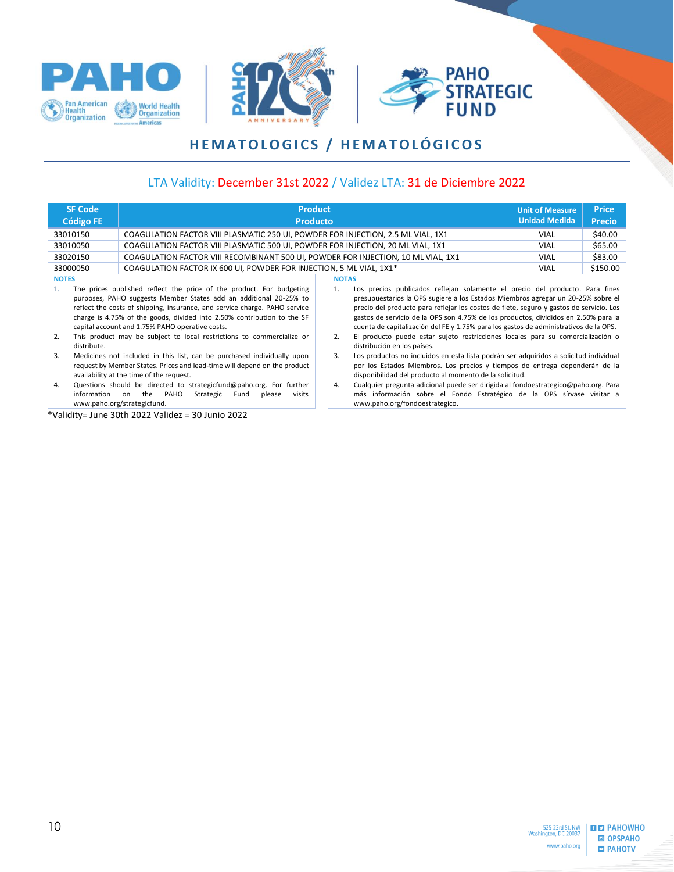





# **H E M A T O L O G I C S / H E M A T O L Ó G I C O S**

### LTA Validity: December 31st 2022 / Validez LTA: 31 de Diciembre 2022

<span id="page-9-0"></span>

|                          | <b>SF Code</b>                                                                                                                                                                                   | <b>Product</b>                                                                                                                                                                                                                                                                                                                                                                                                                 |                                                                                                                                                                                                                                                                                                                                                                                                                                                                                                                                                                                                       | <b>Unit of Measure</b> | <b>Price</b> |
|--------------------------|--------------------------------------------------------------------------------------------------------------------------------------------------------------------------------------------------|--------------------------------------------------------------------------------------------------------------------------------------------------------------------------------------------------------------------------------------------------------------------------------------------------------------------------------------------------------------------------------------------------------------------------------|-------------------------------------------------------------------------------------------------------------------------------------------------------------------------------------------------------------------------------------------------------------------------------------------------------------------------------------------------------------------------------------------------------------------------------------------------------------------------------------------------------------------------------------------------------------------------------------------------------|------------------------|--------------|
|                          | <b>Código FE</b>                                                                                                                                                                                 | <b>Producto</b>                                                                                                                                                                                                                                                                                                                                                                                                                | <b>Unidad Medida</b>                                                                                                                                                                                                                                                                                                                                                                                                                                                                                                                                                                                  | <b>Precio</b>          |              |
| 33010150                 |                                                                                                                                                                                                  | COAGULATION FACTOR VIII PLASMATIC 250 UI, POWDER FOR INJECTION, 2.5 ML VIAL, 1X1                                                                                                                                                                                                                                                                                                                                               |                                                                                                                                                                                                                                                                                                                                                                                                                                                                                                                                                                                                       | <b>VIAL</b>            | \$40.00      |
| 33010050                 |                                                                                                                                                                                                  | COAGULATION FACTOR VIII PLASMATIC 500 UI, POWDER FOR INJECTION, 20 ML VIAL, 1X1                                                                                                                                                                                                                                                                                                                                                |                                                                                                                                                                                                                                                                                                                                                                                                                                                                                                                                                                                                       | <b>VIAL</b>            | \$65.00      |
| 33020150                 |                                                                                                                                                                                                  | COAGULATION FACTOR VIII RECOMBINANT 500 UI, POWDER FOR INJECTION, 10 ML VIAL, 1X1                                                                                                                                                                                                                                                                                                                                              |                                                                                                                                                                                                                                                                                                                                                                                                                                                                                                                                                                                                       | <b>VIAL</b>            | \$83.00      |
| 33000050                 |                                                                                                                                                                                                  | COAGULATION FACTOR IX 600 UI, POWDER FOR INJECTION, 5 ML VIAL, 1X1 <sup>*</sup>                                                                                                                                                                                                                                                                                                                                                |                                                                                                                                                                                                                                                                                                                                                                                                                                                                                                                                                                                                       | <b>VIAL</b>            | \$150.00     |
| <b>NOTES</b><br>1.<br>2. | distribute.                                                                                                                                                                                      | The prices published reflect the price of the product. For budgeting<br>purposes, PAHO suggests Member States add an additional 20-25% to<br>reflect the costs of shipping, insurance, and service charge. PAHO service<br>charge is 4.75% of the goods, divided into 2.50% contribution to the SF<br>capital account and 1.75% PAHO operative costs.<br>This product may be subject to local restrictions to commercialize or | <b>NOTAS</b><br>Los precios publicados reflejan solamente el precio del producto. Para fines<br>$\mathbf{1}$ .<br>presupuestarios la OPS sugiere a los Estados Miembros agregar un 20-25% sobre el<br>precio del producto para reflejar los costos de flete, seguro y gastos de servicio. Los<br>gastos de servicio de la OPS son 4.75% de los productos, divididos en 2.50% para la<br>cuenta de capitalización del FE y 1.75% para los gastos de administrativos de la OPS.<br>El producto puede estar sujeto restricciones locales para su comercialización o<br>2.<br>distribución en los países. |                        |              |
| 3.                       | Medicines not included in this list, can be purchased individually upon<br>request by Member States. Prices and lead-time will depend on the product<br>availability at the time of the request. |                                                                                                                                                                                                                                                                                                                                                                                                                                | Los productos no incluidos en esta lista podrán ser adquiridos a solicitud individual<br>3.<br>por los Estados Miembros. Los precios y tiempos de entrega dependerán de la<br>disponibilidad del producto al momento de la solicitud.                                                                                                                                                                                                                                                                                                                                                                 |                        |              |
| 4.                       | information                                                                                                                                                                                      | Questions should be directed to strategicfund@paho.org. For further<br>the PAHO<br>Strategic<br>Fund<br>visits<br>on<br>please<br>www.paho.org/strategicfund.                                                                                                                                                                                                                                                                  | Cualquier pregunta adicional puede ser dirigida al fondoestrategico@paho.org. Para<br>4.<br>más información sobre el Fondo Estratégico de la OPS sírvase visitar a<br>www.paho.org/fondoestrategico.                                                                                                                                                                                                                                                                                                                                                                                                  |                        |              |

\*Validity= June 30th 2022 Validez = 30 Junio 2022

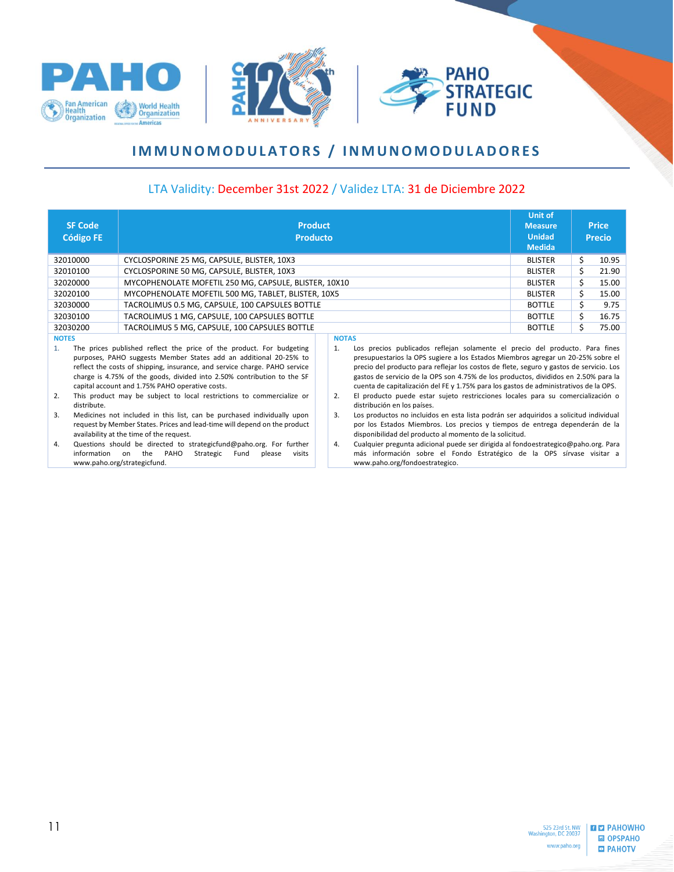



# **I M M U N O M O D U L A T O R S / I N M U N O M O D U L A D O R E S**

#### LTA Validity: December 31st 2022 / Validez LTA: 31 de Diciembre 2022

| <b>SF Code</b><br><b>Código FE</b>                                                                                                                                                                                                                                            | <b>Product</b><br><b>Producto</b>                                     |  |                                                                                                                                                                                                                                                                                                                                                             | <b>Unit of</b><br><b>Measure</b><br><b>Unidad</b><br><b>Medida</b> |    | <b>Price</b><br><b>Precio</b> |
|-------------------------------------------------------------------------------------------------------------------------------------------------------------------------------------------------------------------------------------------------------------------------------|-----------------------------------------------------------------------|--|-------------------------------------------------------------------------------------------------------------------------------------------------------------------------------------------------------------------------------------------------------------------------------------------------------------------------------------------------------------|--------------------------------------------------------------------|----|-------------------------------|
| 32010000                                                                                                                                                                                                                                                                      | CYCLOSPORINE 25 MG, CAPSULE, BLISTER, 10X3                            |  |                                                                                                                                                                                                                                                                                                                                                             | <b>BLISTER</b>                                                     | S  | 10.95                         |
| 32010100                                                                                                                                                                                                                                                                      | CYCLOSPORINE 50 MG, CAPSULE, BLISTER, 10X3                            |  |                                                                                                                                                                                                                                                                                                                                                             | <b>BLISTER</b>                                                     | Ś. | 21.90                         |
| 32020000                                                                                                                                                                                                                                                                      | MYCOPHENOLATE MOFETIL 250 MG, CAPSULE, BLISTER, 10X10                 |  |                                                                                                                                                                                                                                                                                                                                                             | <b>BLISTER</b>                                                     | Ś. | 15.00                         |
| 32020100                                                                                                                                                                                                                                                                      | MYCOPHENOLATE MOFETIL 500 MG, TABLET, BLISTER, 10X5                   |  |                                                                                                                                                                                                                                                                                                                                                             |                                                                    |    | 15.00                         |
| 32030000                                                                                                                                                                                                                                                                      | TACROLIMUS 0.5 MG, CAPSULE, 100 CAPSULES BOTTLE                       |  |                                                                                                                                                                                                                                                                                                                                                             |                                                                    |    | 9.75                          |
| 32030100                                                                                                                                                                                                                                                                      | TACROLIMUS 1 MG, CAPSULE, 100 CAPSULES BOTTLE                         |  |                                                                                                                                                                                                                                                                                                                                                             |                                                                    |    | 16.75                         |
| 32030200                                                                                                                                                                                                                                                                      | TACROLIMUS 5 MG, CAPSULE, 100 CAPSULES BOTTLE                         |  |                                                                                                                                                                                                                                                                                                                                                             | <b>BOTTLE</b>                                                      |    | 75.00                         |
| <b>NOTES</b><br>1.                                                                                                                                                                                                                                                            | The prices published reflect the price of the product. For budgeting  |  | <b>NOTAS</b><br>Los precios publicados reflejan solamente el precio del producto. Para fines<br>1.                                                                                                                                                                                                                                                          |                                                                    |    |                               |
| purposes, PAHO suggests Member States add an additional 20-25% to<br>reflect the costs of shipping, insurance, and service charge. PAHO service<br>charge is 4.75% of the goods, divided into 2.50% contribution to the SF<br>capital account and 1.75% PAHO operative costs. |                                                                       |  | presupuestarios la OPS sugiere a los Estados Miembros agregar un 20-25% sobre el<br>precio del producto para reflejar los costos de flete, seguro y gastos de servicio. Los<br>gastos de servicio de la OPS son 4.75% de los productos, divididos en 2.50% para la<br>cuenta de capitalización del FE y 1.75% para los gastos de administrativos de la OPS. |                                                                    |    |                               |
| 2.<br>distribute.                                                                                                                                                                                                                                                             | This product may be subject to local restrictions to commercialize or |  | El producto puede estar sujeto restricciones locales para su comercialización o<br>2.<br>distribución en los países.                                                                                                                                                                                                                                        |                                                                    |    |                               |

3. Medicines not included in this list, can be purchased individually upon request by Member States. Prices and lead-time will depend on the product availability at the time of the request.

American

<span id="page-10-0"></span>**Health**<br>Organization

**World Health**<br>**Organization** 

- 4. Questions should be directed to strategicfund@paho.org. For further information on the PAHO Strategic Fund please visits www.paho.org/strategicfund.
- 3. Los productos no incluidos en esta lista podrán ser adquiridos a solicitud individual por los Estados Miembros. Los precios y tiempos de entrega dependerán de la disponibilidad del producto al momento de la solicitud.
- 4. Cualquier pregunta adicional puede ser dirigida al fondoestrategico@paho.org. Para más información sobre el Fondo Estratégico de la OPS sírvase visitar a www.paho.org/fondoestrategico.